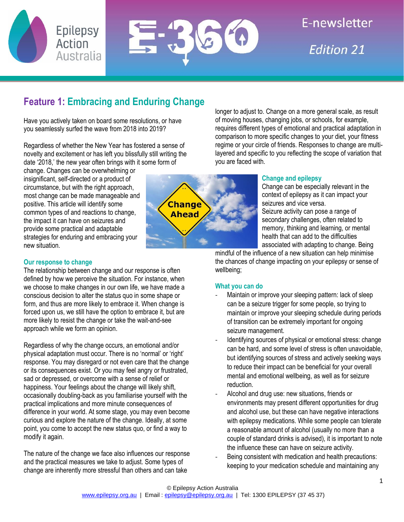



E-newsletter **Fdition 21** 

# **Feature 1: Embracing and Enduring Change**

Have you actively taken on board some resolutions, or have you seamlessly surfed the wave from 2018 into 2019?

Regardless of whether the New Year has fostered a sense of novelty and excitement or has left you blissfully still writing the date '2018,' the new year often brings with it some form of

change. Changes can be overwhelming or insignificant, self-directed or a product of circumstance, but with the right approach, most change can be made manageable and positive. This article will identify some common types of and reactions to change, the impact it can have on seizures and provide some practical and adaptable strategies for enduring and embracing your new situation.

## **Our response to change**

The relationship between change and our response is often defined by how we perceive the situation. For instance, when we choose to make changes in our own life, we have made a conscious decision to alter the status quo in some shape or form, and thus are more likely to embrace it. When change is forced upon us, we still have the option to embrace it, but are more likely to resist the change or take the wait-and-see approach while we form an opinion.

Regardless of why the change occurs, an emotional and/or physical adaptation must occur. There is no 'normal' or 'right' response. You may disregard or not even care that the change or its consequences exist. Or you may feel angry or frustrated, sad or depressed, or overcome with a sense of relief or happiness. Your feelings about the change will likely shift, occasionally doubling-back as you familiarise yourself with the practical implications and more minute consequences of difference in your world. At some stage, you may even become curious and explore the nature of the change. Ideally, at some point, you come to accept the new status quo, or find a way to modify it again.

The nature of the change we face also influences our response and the practical measures we take to adjust. Some types of change are inherently more stressful than others and can take



longer to adjust to. Change on a more general scale, as result of moving houses, changing jobs, or schools, for example, requires different types of emotional and practical adaptation in comparison to more specific changes to your diet, your fitness regime or your circle of friends. Responses to change are multilayered and specific to you reflecting the scope of variation that you are faced with.

## **Change and epilepsy**

Change can be especially relevant in the context of epilepsy as it can impact your seizures and vice versa.

Seizure activity can pose a range of secondary challenges, often related to memory, thinking and learning, or mental health that can add to the difficulties associated with adapting to change. Being

mindful of the influence of a new situation can help minimise the chances of change impacting on your epilepsy or sense of wellbeing;

## **What you can do**

- Maintain or improve your sleeping pattern: lack of sleep can be a seizure trigger for some people, so trying to maintain or improve your sleeping schedule during periods of transition can be extremely important for ongoing seizure management.
- Identifying sources of physical or emotional stress: change can be hard, and some level of stress is often unavoidable, but identifying sources of stress and actively seeking ways to reduce their impact can be beneficial for your overall mental and emotional wellbeing, as well as for seizure reduction.
- Alcohol and drug use: new situations, friends or environments may present different opportunities for drug and alcohol use, but these can have negative interactions with epilepsy medications. While some people can tolerate a reasonable amount of alcohol (usually no more than a couple of standard drinks is advised), it is important to note the influence these can have on seizure activity.
- Being consistent with medication and health precautions: keeping to your medication schedule and maintaining any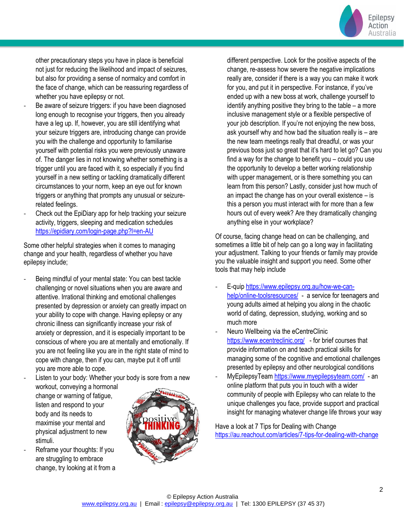

other precautionary steps you have in place is beneficial not just for reducing the likelihood and impact of seizures, but also for providing a sense of normalcy and comfort in the face of change, which can be reassuring regardless of whether you have epilepsy or not.

- Be aware of seizure triggers: if you have been diagnosed long enough to recognise your triggers, then you already have a leg up. If, however, you are still identifying what your seizure triggers are, introducing change can provide you with the challenge and opportunity to familiarise yourself with potential risks you were previously unaware of. The danger lies in not knowing whether something is a trigger until you are faced with it, so especially if you find yourself in a new setting or tackling dramatically different circumstances to your norm, keep an eye out for known triggers or anything that prompts any unusual or seizurerelated feelings.
- Check out the EpiDiary app for help tracking your seizure activity, triggers, sleeping and medication schedules <https://epidiary.com/login-page.php?l=en-AU>

Some other helpful strategies when it comes to managing change and your health, regardless of whether you have epilepsy include;

Being mindful of your mental state: You can best tackle challenging or novel situations when you are aware and attentive. Irrational thinking and emotional challenges presented by depression or anxiety can greatly impact on your ability to cope with change. Having epilepsy or any chronic illness can significantly increase your risk of anxiety or depression, and it is especially important to be conscious of where you are at mentally and emotionally. If you are not feeling like you are in the right state of mind to cope with change, then if you can, maybe put it off until you are more able to cope.

Listen to your body: Whether your body is sore from a new workout, conveying a hormonal change or warning of fatigue,

listen and respond to your body and its needs to maximise your mental and physical adjustment to new stimuli.

Reframe your thoughts: If you are struggling to embrace change, try looking at it from a



different perspective. Look for the positive aspects of the change, re-assess how severe the negative implications really are, consider if there is a way you can make it work for you, and put it in perspective. For instance, if you've ended up with a new boss at work, challenge yourself to identify anything positive they bring to the table – a more inclusive management style or a flexible perspective of your job description. If you're not enjoying the new boss, ask yourself why and how bad the situation really is – are the new team meetings really that dreadful, or was your previous boss just so great that it's hard to let go? Can you find a way for the change to benefit you – could you use the opportunity to develop a better working relationship with upper management, or is there something you can learn from this person? Lastly, consider just how much of an impact the change has on your overall existence – is this a person you must interact with for more than a few hours out of every week? Are they dramatically changing anything else in your workplace?

Of course, facing change head on can be challenging, and sometimes a little bit of help can go a long way in facilitating your adjustment. Talking to your friends or family may provide you the valuable insight and support you need. Some other tools that may help include

- E-quip [https://www.epilepsy.org.au/how-we-can](https://www.epilepsy.org.au/how-we-can-help/online-toolsresources/)[help/online-toolsresources/](https://www.epilepsy.org.au/how-we-can-help/online-toolsresources/) - a service for teenagers and young adults aimed at helping you along in the chaotic world of dating, depression, studying, working and so much more
- Neuro Wellbeing via the eCentreClinic <https://www.ecentreclinic.org/> - for brief courses that provide information on and teach practical skills for managing some of the cognitive and emotional challenges presented by epilepsy and other neurological conditions
- MyEpilepsyTeam<https://www.myepilepsyteam.com/> an online platform that puts you in touch with a wider community of people with Epilepsy who can relate to the unique challenges you face, provide support and practical insight for managing whatever change life throws your way

Have a look at 7 Tips for Dealing with Change <https://au.reachout.com/articles/7-tips-for-dealing-with-change>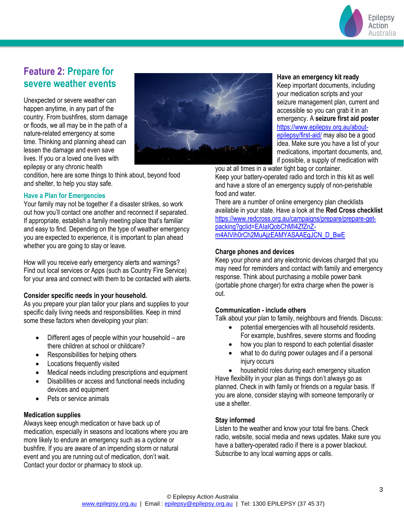

## **Feature 2: Prepare for severe weather events**

Unexpected or severe weather can happen anytime, in any part of the country. From bushfires, storm damage or floods, we all may be in the path of a nature-related emergency at some time. Thinking and planning ahead can lessen the damage and even save lives. If you or a loved one lives with epilepsy or any chronic health



condition, here are some things to think about, beyond food and shelter, to help you stay safe.

## **Have a Plan for Emergencies**

Your family may not be together if a disaster strikes, so work out how you'll contact one another and reconnect if separated. If appropriate, establish a family meeting place that's familiar and easy to find. Depending on the type of weather emergency you are expected to experience, it is important to plan ahead whether you are going to stay or leave.

How will you receive early emergency alerts and warnings? Find out local services or Apps (such as Country Fire Service) for your area and connect with them to be contacted with alerts.

## **Consider specific needs in your household.**

As you prepare your plan tailor your plans and supplies to your specific daily living needs and responsibilities. Keep in mind some these factors when developing your plan:

- Different ages of people within your household are there children at school or childcare?
- Responsibilities for helping others
- Locations frequently visited
- Medical needs including prescriptions and equipment
- Disabilities or access and functional needs including devices and equipment
- Pets or service animals

#### **Medication supplies**

Always keep enough medication or have back up of medication, especially in seasons and locations where you are more likely to endure an emergency such as a cyclone or bushfire. If you are aware of an impending storm or natural event and you are running out of medication, don't wait. Contact your doctor or pharmacy to stock up.

### **Have an emergency kit ready**

Keep important documents, including your medication scripts and your seizure management plan, current and accessible so you can grab it in an emergency. A **seizure first aid poster** [https://www.epilepsy.org.au/about](https://www.epilepsy.org.au/about-epilepsy/first-aid/)[epilepsy/first-aid/](https://www.epilepsy.org.au/about-epilepsy/first-aid/) may also be a good idea. Make sure you have a list of your medications, important documents, and, if possible, a supply of medication with

you at all times in a water tight bag or container. Keep your battery-operated radio and torch in this kit as well and have a store of an emergency supply of non-perishable food and water.

There are a number of online emergency plan checklists available in your state. Have a look at the **Red Cross checklist** [https://www.redcross.org.au/campaigns/prepare/prepare-get](https://www.redcross.org.au/campaigns/prepare/prepare-get-packing?gclid=EAIaIQobChMI4ZfZnZ-m4AIVih0rCh2MuAjzEAMYASAAEgJCN_D_BwE)[packing?gclid=EAIaIQobChMI4ZfZnZ](https://www.redcross.org.au/campaigns/prepare/prepare-get-packing?gclid=EAIaIQobChMI4ZfZnZ-m4AIVih0rCh2MuAjzEAMYASAAEgJCN_D_BwE)[m4AIVih0rCh2MuAjzEAMYASAAEgJCN\\_D\\_BwE](https://www.redcross.org.au/campaigns/prepare/prepare-get-packing?gclid=EAIaIQobChMI4ZfZnZ-m4AIVih0rCh2MuAjzEAMYASAAEgJCN_D_BwE)

## **Charge phones and devices**

Keep your phone and any electronic devices charged that you may need for reminders and contact with family and emergency response. Think about purchasing a mobile power bank (portable phone charger) for extra charge when the power is out.

#### **Communication - include others**

Talk about your plan to family, neighbours and friends. Discuss:

- potential emergencies with all household residents. For example, bushfires, severe storms and flooding
- how you plan to respond to each potential disaster
- what to do during power outages and if a personal injury occurs

• household roles during each emergency situation Have flexibility in your plan as things don't always go as planned. Check in with family or friends on a regular basis. If you are alone, consider staying with someone temporarily or use a shelter.

## **Stay informed**

Listen to the weather and know your total fire bans. Check radio, website, social media and news updates. Make sure you have a battery-operated radio if there is a power blackout. Subscribe to any local warning apps or calls.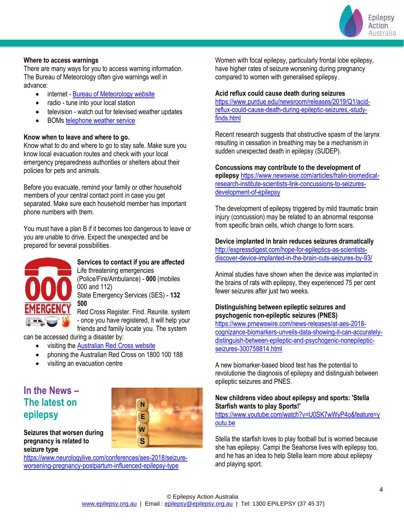

#### **Where to access warnings**

There are many ways for you to access warning information. The Bureau of Meteorology often give warnings well in advance:

- internet [Bureau of Meteorology website](http://www.bom.gov.au/)
- radio tune into your local station
- television watch out for televised weather updates
- BOM[s telephone weather service](http://www.bom.gov.au/other/tws/twsdir.shtml)

#### **Know when to leave and where to go.**

Know what to do and where to go to stay safe. Make sure you know local evacuation routes and check with your local emergency preparedness authorities or shelters about their policies for pets and animals.

Before you evacuate, remind your family or other household members of your central contact point in case you get separated. Make sure each household member has important phone numbers with them.

You must have a plan B if it becomes too dangerous to leave or you are unable to drive. Expect the unexpected and be prepared for several possibilities.



## **Services to contact if you are affected** Life threatening emergencies

(Police/Fire/Ambulance) - **000** (mobiles 000 and 112) State Emergency Services (SES) - **132 500**

Red Cross Register. Find. Reunite. system - once you have registered, it will help your friends and family locate you. The system

can be accessed during a disaster by:

- visiting the [Australian Red Cross website](https://www.redcross.org.au/)
- phoning the Australian Red Cross on 1800 100 188
- visiting an evacuation centre

## **In the News – The latest on epilepsy**



**Seizures that worsen during pregnancy is related to seizure type**

[https://www.neurologylive.com/conferences/aes-2018/seizure](https://www.neurologylive.com/conferences/aes-2018/seizure-worsening-pregnancy-postpartum-influenced-epilepsy-type)[worsening-pregnancy-postpartum-influenced-epilepsy-type](https://www.neurologylive.com/conferences/aes-2018/seizure-worsening-pregnancy-postpartum-influenced-epilepsy-type)

Women with focal epilepsy, particularly frontal lobe epilepsy, have higher rates of seizure worsening during pregnancy compared to women with generalised epilepsy.

#### **Acid reflux could cause death during seizures**

[https://www.purdue.edu/newsroom/releases/2019/Q1/acid](https://www.purdue.edu/newsroom/releases/2019/Q1/acid-reflux-could-cause-death-during-epileptic-seizures,-study-finds.html)[reflux-could-cause-death-during-epileptic-seizures,-study](https://www.purdue.edu/newsroom/releases/2019/Q1/acid-reflux-could-cause-death-during-epileptic-seizures,-study-finds.html)[finds.html](https://www.purdue.edu/newsroom/releases/2019/Q1/acid-reflux-could-cause-death-during-epileptic-seizures,-study-finds.html)

Recent research suggests that obstructive spasm of the larynx resulting in cessation in breathing may be a mechanism in sudden unexpected death in epilepsy (SUDEP).

#### **Concussions may contribute to the development of**

**epilepsy** [https://www.newswise.com/articles/fralin-biomedical](https://www.newswise.com/articles/fralin-biomedical-research-institute-scientists-link-concussions-to-seizures-development-of-epilepsy)[research-institute-scientists-link-concussions-to-seizures](https://www.newswise.com/articles/fralin-biomedical-research-institute-scientists-link-concussions-to-seizures-development-of-epilepsy)[development-of-epilepsy](https://www.newswise.com/articles/fralin-biomedical-research-institute-scientists-link-concussions-to-seizures-development-of-epilepsy)

The development of epilepsy triggered by mild traumatic brain injury (concussion) may be related to an abnormal response from specific brain cells, which change to form scars.

#### **Device implanted in brain reduces seizures dramatically**

[http://expressdigest.com/hope-for-epileptics-as-scientists](http://expressdigest.com/hope-for-epileptics-as-scientists-discover-device-implanted-in-the-brain-cuts-seizures-by-93/)[discover-device-implanted-in-the-brain-cuts-seizures-by-93/](http://expressdigest.com/hope-for-epileptics-as-scientists-discover-device-implanted-in-the-brain-cuts-seizures-by-93/)

Animal studies have shown when the device was implanted in the brains of rats with epilepsy, they experienced 75 per cent fewer seizures after just two weeks.

## **Distinguishing between epileptic seizures and psychogenic non-epileptic seizures (PNES)**

[https://www.prnewswire.com/news-releases/at-aes-2018](https://www.prnewswire.com/news-releases/at-aes-2018-cognizance-biomarkers-unveils-data-showing-it-can-accurately-distinguish-between-epileptic-and-psychogenic-nonepileptic-seizures-300758814.html) [cognizance-biomarkers-unveils-data-showing-it-can-accurately](https://www.prnewswire.com/news-releases/at-aes-2018-cognizance-biomarkers-unveils-data-showing-it-can-accurately-distinguish-between-epileptic-and-psychogenic-nonepileptic-seizures-300758814.html)[distinguish-between-epileptic-and-psychogenic-nonepileptic](https://www.prnewswire.com/news-releases/at-aes-2018-cognizance-biomarkers-unveils-data-showing-it-can-accurately-distinguish-between-epileptic-and-psychogenic-nonepileptic-seizures-300758814.html)[seizures-300758814.html](https://www.prnewswire.com/news-releases/at-aes-2018-cognizance-biomarkers-unveils-data-showing-it-can-accurately-distinguish-between-epileptic-and-psychogenic-nonepileptic-seizures-300758814.html)

A new biomarker-based blood test has the potential to revolutionie the diagnosis of epilepsy and distinguish between epileptic seizures and PNES.

## **New childrens video about epilepsy and sports: 'Stella Starfish wants to play Sports!'**

[https://www.youtube.com/watch?v=U0SK7wWyP4o&feature=y](https://www.youtube.com/watch?v=U0SK7wWyP4o&feature=youtu.be) [outu.be](https://www.youtube.com/watch?v=U0SK7wWyP4o&feature=youtu.be)

Stella the starfish loves to play football but is worried because she has epilepsy. Campi the Seahorse lives with epilepsy too, and he has an idea to help Stella learn more about epilepsy and playing sport.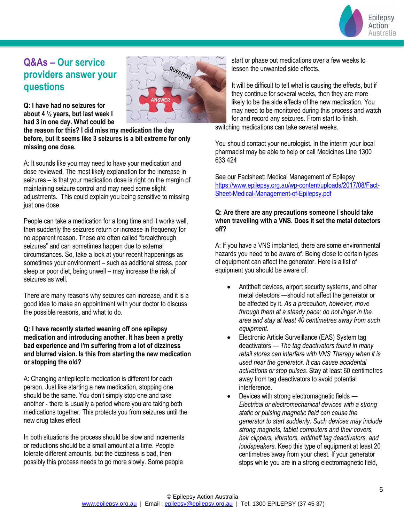

## **Q&As – Our service providers answer your questions**



**Q: I have had no seizures for about 4 ½ years, but last week I had 3 in one day. What could be** 

**the reason for this? I did miss my medication the day before, but it seems like 3 seizures is a bit extreme for only missing one dose.**

A: It sounds like you may need to have your medication and dose reviewed. The most likely explanation for the increase in seizures – is that your medication dose is right on the margin of maintaining seizure control and may need some slight adjustments. This could explain you being sensitive to missing just one dose.

People can take a medication for a long time and it works well, then suddenly the seizures return or increase in frequency for no apparent reason. These are often called "breakthrough seizures" and can sometimes happen due to external circumstances. So, take a look at your recent happenings as sometimes your environment – such as additional stress, poor sleep or poor diet, being unwell – may increase the risk of seizures as well.

There are many reasons why seizures can increase, and it is a good idea to make an appointment with your doctor to discuss the possible reasons, and what to do.

## **Q: I have recently started weaning off one epilepsy medication and introducing another. It has been a pretty bad experience and I'm suffering from a lot of dizziness and blurred vision. Is this from starting the new medication or stopping the old?**

A: Changing antiepileptic medication is different for each person. Just like starting a new medication, stopping one should be the same. You don't simply stop one and take another - there is usually a period where you are taking both medications together. This protects you from seizures until the new drug takes effect

In both situations the process should be slow and increments or reductions should be a small amount at a time. People tolerate different amounts, but the dizziness is bad, then possibly this process needs to go more slowly. Some people

start or phase out medications over a few weeks to lessen the unwanted side effects.

It will be difficult to tell what is causing the effects, but if they continue for several weeks, then they are more likely to be the side effects of the new medication. You may need to be monitored during this process and watch for and record any seizures. From start to finish,

switching medications can take several weeks.

You should contact your neurologist. In the interim your local pharmacist may be able to help or call Medicines Line 1300 633 424

See our Factsheet: Medical Management of Epilepsy [https://www.epilepsy.org.au/wp-content/uploads/2017/08/Fact-](https://www.epilepsy.org.au/wp-content/uploads/2017/08/Fact-Sheet-Medical-Management-of-Epilepsy.pdf)[Sheet-Medical-Management-of-Epilepsy.pdf](https://www.epilepsy.org.au/wp-content/uploads/2017/08/Fact-Sheet-Medical-Management-of-Epilepsy.pdf)

## **Q: Are there are any precautions someone I should take when travelling with a VNS. Does it set the metal detectors off?**

A: If you have a VNS implanted, there are some environmental hazards you need to be aware of. Being close to certain types of equipment can affect the generator. Here is a list of equipment you should be aware of:

- Antitheft devices, airport security systems, and other metal detectors —should not affect the generator or be affected by it. *As a precaution, however, move through them at a steady pace; do not linger in the area and stay at least 40 centimetres away from such equipment.*
- Electronic Article Surveillance (EAS) System tag deactivators — *The tag deactivators found in many retail stores can interfere with VNS Therapy when it is used near the generator. It can cause accidental activations or stop pulses*. Stay at least 60 centimetres away from tag deactivators to avoid potential interference.
- Devices with strong electromagnetic fields *Electrical or electromechanical devices with a strong static or pulsing magnetic field can cause the generator to start suddenly. Such devices may include strong magnets, tablet computers and their covers, hair clippers, vibrators, antitheft tag deactivators, and loudspeakers*. Keep this type of equipment at least 20 centimetres away from your chest. If your generator stops while you are in a strong electromagnetic field,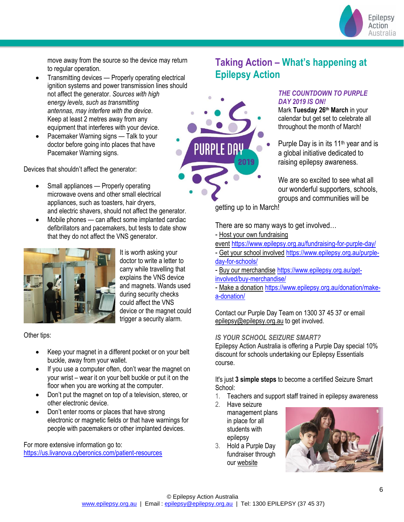

move away from the source so the device may return to regular operation.

- Transmitting devices Properly operating electrical ignition systems and power transmission lines should not affect the generator. *Sources with high energy levels, such as transmitting antennas, may interfere with the device*. Keep at least 2 metres away from any equipment that interferes with your device.
- Pacemaker Warning signs Talk to your doctor before going into places that have Pacemaker Warning signs.

Devices that shouldn't affect the generator:

- Small appliances Properly operating microwave ovens and other small electrical appliances, such as toasters, hair dryers, and electric shavers, should not affect the generator.
- Mobile phones can affect some implanted cardiac defibrillators and pacemakers, but tests to date show that they do not affect the VNS generator.



It is worth asking your doctor to write a letter to carry while travelling that explains the VNS device and magnets. Wands used during security checks could affect the VNS device or the magnet could trigger a security alarm.

Other tips:

- Keep your magnet in a different pocket or on your belt buckle, away from your wallet.
- If you use a computer often, don't wear the magnet on your wrist – wear it on your belt buckle or put it on the floor when you are working at the computer.
- Don't put the magnet on top of a television, stereo, or other electronic device.
- Don't enter rooms or places that have strong electronic or magnetic fields or that have warnings for people with pacemakers or other implanted devices.

For more extensive information go to: <https://us.livanova.cyberonics.com/patient-resources>

## **Taking Action – What's happening at Epilepsy Action**



## *THE COUNTDOWN TO PURPLE DAY 2019 IS ON!*

Mark **Tuesday 26th March** in your calendar but get set to celebrate all throughout the month of March!

Purple Day is in its  $11<sup>th</sup>$  year and is a global initiative dedicated to raising epilepsy awareness.

We are so excited to see what all our wonderful supporters, schools, groups and communities will be

getting up to in March!

There are so many ways to get involved…

- [Host your own fundraising](https://www.vision6.com.au/ch/10583/2c6c6gz/2410648/QzhllKPrEn9l8DFcZUXn0ERuHsFBBWXWxfNWHje3.html) 

[event](https://www.vision6.com.au/ch/10583/2c6c6gz/2410648/QzhllKPrEn9l8DFcZUXn0ERuHsFBBWXWxfNWHje3.html) <https://www.epilepsy.org.au/fundraising-for-purple-day/>

- [Get your school involved](https://www.vision6.com.au/ch/10583/2c6c6gz/2410649/QzhllKPrEn9l8DFcZUXnp7.eUNqcRcYYF1XG0iqo.html) [https://www.epilepsy.org.au/purple](https://www.epilepsy.org.au/purple-day-for-schools/)[day-for-schools/](https://www.epilepsy.org.au/purple-day-for-schools/)
- [Buy our merchandise](https://www.vision6.com.au/ch/10583/2c6c6gz/2410650/QzhllKPrEn9l8DFcZUXnyCcGHpdjpFpVlJsCCNWy.html) [https://www.epilepsy.org.au/get](https://www.epilepsy.org.au/get-involved/buy-merchandise/)[involved/buy-merchandise/](https://www.epilepsy.org.au/get-involved/buy-merchandise/)
- [Make a donation](https://www.vision6.com.au/ch/10583/2c6c6gz/2410651/QzhllKPrEn9l8DFcZUXn5SjBtQMOtpU79HO.MXkf.html) [https://www.epilepsy.org.au/donation/make](https://www.epilepsy.org.au/donation/make-a-donation/)[a-donation/](https://www.epilepsy.org.au/donation/make-a-donation/)

Contact our Purple Day Team on 1300 37 45 37 or email [epilepsy@epilepsy.org.au](mailto:epilepsy@epilepsy.org.au) to get involved.

## *IS YOUR SCHOOL SEIZURE SMART?*

Epilepsy Action Australia is offering a Purple Day special 10% discount for schools undertaking our Epilepsy Essentials course.

It's just **3 simple steps** to become a certified Seizure Smart School:

- 1. Teachers and support staff trained in epilepsy awareness
- 2. Have seizure management plans in place for all students with epilepsy
- 3. Hold a Purple Day fundraiser through our [website](https://www.vision6.com.au/ch/10583/2c6c6gz/2308834/QzhllKPrEn9l8DFcZUXnhK2WtsifhdioCsT7u6Gk.html)